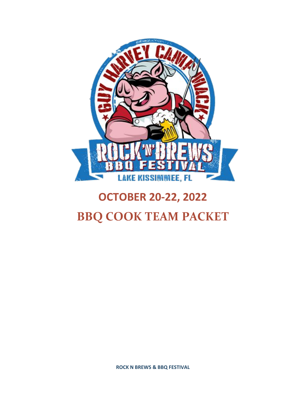

# **OCTOBER 20-22, 2022 BBQ COOK TEAM PACKET**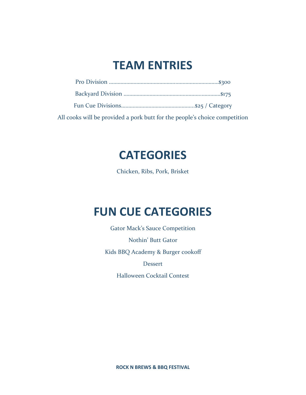# **TEAM ENTRIES**

| All cooks will be provided a pork butt for the people's choice competition |
|----------------------------------------------------------------------------|

## **CATEGORIES**

Chicken, Ribs, Pork, Brisket

# **FUN CUE CATEGORIES**

Gator Mack's Sauce Competition Nothin' Butt Gator Kids BBQ Academy & Burger cookoff Dessert

Halloween Cocktail Contest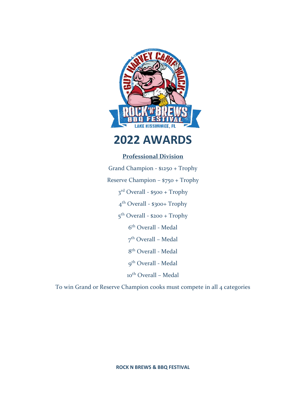

## **2022 AWARDS**

## **Professional Division**

Grand Champion - \$1250 + Trophy Reserve Champion – \$750 + Trophy 3<sup>rd</sup> Overall - \$500 + Trophy 4 th Overall - \$300+ Trophy 5<sup>th</sup> Overall - \$200 + Trophy 6 th Overall - Medal 7<sup>th</sup> Overall – Medal 8 th Overall - Medal 9<sup>th</sup> Overall - Medal 10<sup>th</sup> Overall - Medal

To win Grand or Reserve Champion cooks must compete in all 4 categories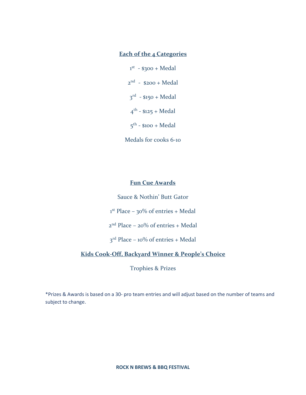## **Each of the 4 Categories**

 $1<sup>st</sup> - $300 + Medal$  $2<sup>nd</sup> - $200 + Medal$ 3<sup>rd</sup> - \$150 + Medal 4<sup>th</sup> - \$125 + Medal 5<sup>th</sup> - \$100 + Medal

Medals for cooks 6-10

### **Fun Cue Awards**

Sauce & Nothin' Butt Gator

 $1<sup>st</sup>$  Place – 30% of entries + Medal

2 nd Place – 20% of entries + Medal

 $3<sup>rd</sup>$  Place – 10% of entries + Medal

### **Kids Cook-Off, Backyard Winner & People's Choice**

Trophies & Prizes

\*Prizes & Awards is based on a 30- pro team entries and will adjust based on the number of teams and subject to change.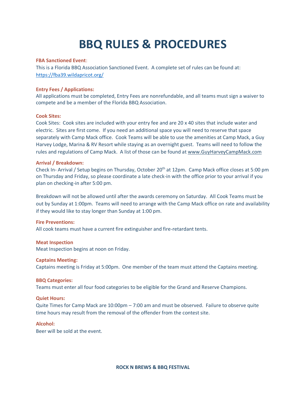# **BBQ RULES & PROCEDURES**

#### **FBA Sanctioned Event**:

This is a Florida BBQ Association Sanctioned Event. A complete set of rules can be found at: <https://fba39.wildapricot.org/>

#### **Entry Fees / Applications:**

All applications must be completed, Entry Fees are nonrefundable, and all teams must sign a waiver to compete and be a member of the Florida BBQ Association.

#### **Cook Sites:**

Cook Sites: Cook sites are included with your entry fee and are 20 x 40 sites that include water and electric. Sites are first come. If you need an additional space you will need to reserve that space separately with Camp Mack office. Cook Teams will be able to use the amenities at Camp Mack, a Guy Harvey Lodge, Marina & RV Resort while staying as an overnight guest. Teams will need to follow the rules and regulations of Camp Mack. A list of those can be found at [www.GuyHarveyCampMack.com](http://www.guyharveycampmack.com/)

#### **Arrival / Breakdown:**

Check In- Arrival / Setup begins on Thursday, October 20<sup>th</sup> at 12pm. Camp Mack office closes at 5:00 pm on Thursday and Friday, so please coordinate a late check-in with the office prior to your arrival if you plan on checking-in after 5:00 pm.

Breakdown will not be allowed until after the awards ceremony on Saturday. All Cook Teams must be out by Sunday at 1:00pm. Teams will need to arrange with the Camp Mack office on rate and availability if they would like to stay longer than Sunday at 1:00 pm.

#### **Fire Preventions:**

All cook teams must have a current fire extinguisher and fire-retardant tents.

#### **Meat Inspection**

Meat Inspection begins at noon on Friday.

#### **Captains Meeting:**

Captains meeting is Friday at 5:00pm. One member of the team must attend the Captains meeting.

#### **BBQ Categories:**

Teams must enter all four food categories to be eligible for the Grand and Reserve Champions.

#### **Quiet Hours:**

Quite Times for Camp Mack are 10:00pm – 7:00 am and must be observed. Failure to observe quite time hours may result from the removal of the offender from the contest site.

#### **Alcohol:**

Beer will be sold at the event.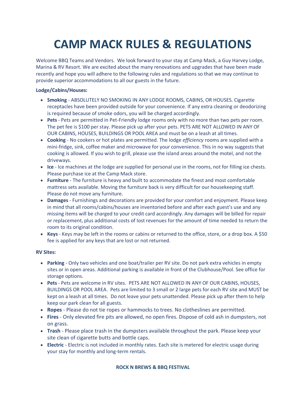# **CAMP MACK RULES & REGULATIONS**

Welcome BBQ Teams and Vendors. We look forward to your stay at Camp Mack, a Guy Harvey Lodge, Marina & RV Resort. We are excited about the many renovations and upgrades that have been made recently and hope you will adhere to the following rules and regulations so that we may continue to provide superior accommodations to all our guests in the future.

#### **Lodge/Cabins/Houses:**

- **Smoking** ABSOLUTELY NO SMOKING IN ANY LODGE ROOMS, CABINS, OR HOUSES. Cigarette receptacles have been provided outside for your convenience. If any extra cleaning or deodorizing is required because of smoke odors, you will be charged accordingly.
- **Pets** Pets are permitted in Pet-Friendly lodge rooms only with no more than two pets per room. The pet fee is \$100 per stay. Please pick up after your pets. PETS ARE NOT ALLOWED IN ANY OF OUR CABINS, HOUSES, BUILDINGS OR POOL AREA and must be on a leash at all times.
- **Cooking** No cookers or hot plates are permitted. The lodge *efficiency* rooms are supplied with a mini-fridge, sink, coffee maker and microwave for your convenience. This in no way suggests that cooking is allowed. If you wish to grill, please use the island areas around the motel, and not the driveways.
- **Ice** Ice machines at the lodge are supplied for personal use in the rooms, not for filling ice chests. Please purchase ice at the Camp Mack store.
- **Furniture** The furniture is heavy and built to accommodate the finest and most comfortable mattress sets available. Moving the furniture back is very difficult for our housekeeping staff. Please do not move any furniture.
- **Damages** Furnishings and decorations are provided for your comfort and enjoyment. Please keep in mind that all rooms/cabins/houses are inventoried before and after each guest's use and any missing items will be charged to your credit card accordingly. Any damages will be billed for repair or replacement, plus additional costs of lost revenues for the amount of time needed to return the room to its original condition.
- **Keys** Keys may be left in the rooms or cabins or returned to the office, store, or a drop box. A \$50 fee is applied for any keys that are lost or not returned.

#### **RV Sites:**

- **Parking** Only two vehicles and one boat/trailer per RV site. Do not park extra vehicles in empty sites or in open areas. Additional parking is available in front of the Clubhouse/Pool. See office for storage options.
- **Pets** Pets are welcome in RV sites. PETS ARE NOT ALLOWED IN ANY OF OUR CABINS, HOUSES, BUILDINGS OR POOL AREA. Pets are limited to 3 small or 2 large pets for each RV site and MUST be kept on a leash at all times. Do not leave your pets unattended. Please pick up after them to help keep our park clean for all guests.
- **Ropes** Please do not tie ropes or hammocks to trees. No clotheslines are permitted.
- **Fires** Only elevated fire pits are allowed, no open fires. Dispose of cold ash in dumpsters, not on grass.
- **Trash** Please place trash in the dumpsters available throughout the park. Please keep your site clean of cigarette butts and bottle caps.
- **Electric** Electric is not included in monthly rates. Each site is metered for electric usage during your stay for monthly and long-term rentals.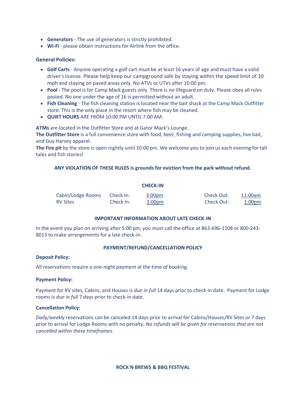- **Generators** The use of generators is strictly prohibited.
- **Wi-Fi** please obtain instructions for Airlink from the office.

#### **General Policies:**

- **Golf Carts** Anyone operating a golf cart must be at least 16 years of age and must have a valid driver's license. Please help keep our campground safe by staying within the speed limit of 10 mph and staying on paved areas only. No ATVs or UTVs after 10:00 pm.
- **Pool** The pool is for Camp Mack guests only. There is no lifeguard on duty. Please obey all rules posted. No one under the age of 16 is permitted without an adult.
- **Fish Cleaning** The fish cleaning station is located near the bait shack at the Camp Mack Outfitter store. This is the only place in the resort where fish may be cleaned.
- **QUIET HOURS** ARE FROM 10:00 PM UNTIL 7:00 AM.

**ATMs** are located in the Outfitter Store and at Gator Mack's Lounge.

**The Outfitter Store** is a full convenience store with food, beer, fishing and camping supplies, live bait, and Guy Harvey apparel.

**The Fire pit** by the store is open nightly until 10:00 pm. We welcome you to join us each evening for tall tales and fish stories!

#### **ANY VIOLATION OF THESE RULES is grounds for eviction from the park without refund.**

**CHECK-IN**

|                   |           | <b>CHECK-IN</b>    |            |               |
|-------------------|-----------|--------------------|------------|---------------|
| Cabin/Lodge Rooms | Check In: | 3:00 <sub>pm</sub> | Check Out: | 11:00am       |
| <b>RV Sites</b>   | Check In: | 3:00pm             | Check Out: | <u>1:00pm</u> |

#### **IMPORTANT INFORMATION ABOUT LATE CHECK-IN**

In the event you plan on arriving after 5:00 pm, you must call the office at 863-696-1108 or 800-243- 8013 to make arrangements for a late check-in.

#### **PAYMENT/REFUND/CANCELLATION POLICY**

#### **Deposit Policy:**

All reservations require a one-night payment at the time of booking.

#### **Payment Policy:**

Payment for RV sites, Cabins, and Houses is *due in full* 14 days prior to check-in date. Payment for Lodge rooms is *due in full* 7 days prior to check-in date.

#### **Cancellation Policy:**

*Daily/weekly* reservations can be canceled 14 days prior to arrival for Cabins/Houses/RV Sites or 7 days prior to arrival for Lodge Rooms with no penalty. *No refunds will be given for reservations that are not cancelled within these timeframes.*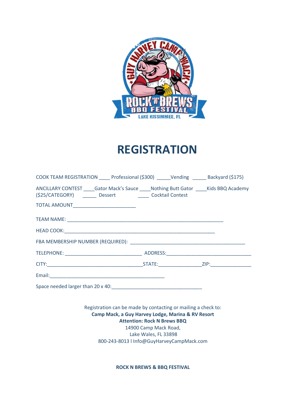

# **REGISTRATION**

| COOK TEAM REGISTRATION _____ Professional (\$300) ______ Vending _______ Backyard (\$175)                                                               |  |  |  |  |
|---------------------------------------------------------------------------------------------------------------------------------------------------------|--|--|--|--|
| ANCILLARY CONTEST _____Gator Mack's Sauce _____Nothing Butt Gator _____Kids BBQ Academy<br>(\$25/CATEGORY) ________ Dessert __________ Cocktail Contest |  |  |  |  |
| TOTAL AMOUNT____________________________                                                                                                                |  |  |  |  |
|                                                                                                                                                         |  |  |  |  |
|                                                                                                                                                         |  |  |  |  |
|                                                                                                                                                         |  |  |  |  |
|                                                                                                                                                         |  |  |  |  |
|                                                                                                                                                         |  |  |  |  |
|                                                                                                                                                         |  |  |  |  |
|                                                                                                                                                         |  |  |  |  |
|                                                                                                                                                         |  |  |  |  |
| Registration can be made by contacting or mailing a check to:<br>Camp Mack, a Guy Harvey Lodge, Marina & RV Resort                                      |  |  |  |  |
| <b>Attention: Rock N Brews BBQ</b>                                                                                                                      |  |  |  |  |

14900 Camp Mack Road, Lake Wales, FL 33898 800-243-8013 l Info@GuyHarveyCampMack.com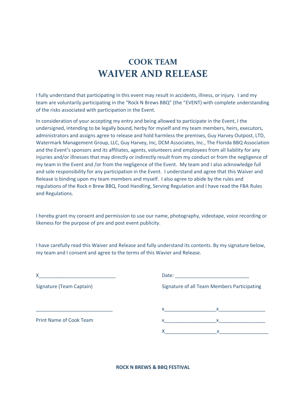## **COOK TEAM WAIVER AND RELEASE**

I fully understand that participating in this event may result in accidents, illness, or injury. I and my team are voluntarily participating in the "Rock N Brews BBQ" (the "EVENT) with complete understanding of the risks associated with participation in the Event.

In consideration of your accepting my entry and being allowed to participate in the Event, I the undersigned, intending to be legally bound, herby for myself and my team members, heirs, executors, administrators and assigns agree to release and hold harmless the premises, Guy Harvey Outpost, LTD, Watermark Management Group, LLC, Guy Harvey, Inc, DCM Associates, Inc., The Florida BBQ Association and the Event's sponsors and its affiliates, agents, volunteers and employees from all liability for any injuries and/or illnesses that may directly or indirectly result from my conduct or from the negligence of my team in the Event and /or from the negligence of the Event. My team and I also acknowledge full and sole responsibility for any participation in the Event. I understand and agree that this Waiver and Release is binding upon my team members and myself. I also agree to abide by the rules and regulations of the Rock n Brew BBQ, Food Handling, Serving Regulation and I have read the FBA Rules and Regulations.

I hereby grant my consent and permission to use our name, photography, videotape, voice recording or likeness for the purpose of pre and post event publicity.

I have carefully read this Waiver and Release and fully understand its contents. By my signature below, my team and I consent and agree to the terms of this Wavier and Release.

| X                              |                                                                                                                                                                                  |  |  |
|--------------------------------|----------------------------------------------------------------------------------------------------------------------------------------------------------------------------------|--|--|
| Signature (Team Captain)       | Signature of all Team Members Participating                                                                                                                                      |  |  |
|                                | $\mathsf{X}$ and $\mathsf{X}$ are the set of $\mathsf{X}$ and $\mathsf{X}$ are the set of $\mathsf{X}$<br>$\mathsf X$ and $\mathsf X$ and $\mathsf X$ are the set of $\mathsf X$ |  |  |
| <b>Print Name of Cook Team</b> | $\mathsf{X}$ and $\mathsf{X}$<br>x                                                                                                                                               |  |  |
|                                |                                                                                                                                                                                  |  |  |